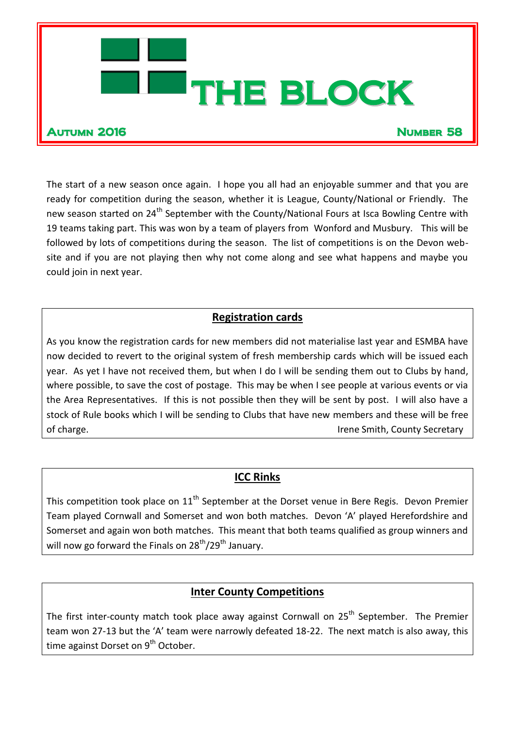

The start of a new season once again. I hope you all had an enjoyable summer and that you are ready for competition during the season, whether it is League, County/National or Friendly. The new season started on 24<sup>th</sup> September with the County/National Fours at Isca Bowling Centre with 19 teams taking part. This was won by a team of players from Wonford and Musbury. This will be followed by lots of competitions during the season. The list of competitions is on the Devon website and if you are not playing then why not come along and see what happens and maybe you could join in next year.

# **Registration cards**

As you know the registration cards for new members did not materialise last year and ESMBA have now decided to revert to the original system of fresh membership cards which will be issued each year. As yet I have not received them, but when I do I will be sending them out to Clubs by hand, where possible, to save the cost of postage. This may be when I see people at various events or via the Area Representatives. If this is not possible then they will be sent by post. I will also have a stock of Rule books which I will be sending to Clubs that have new members and these will be free of charge. The country Secretary of charge.

# **ICC Rinks**

This competition took place on  $11<sup>th</sup>$  September at the Dorset venue in Bere Regis. Devon Premier Team played Cornwall and Somerset and won both matches. Devon 'A' played Herefordshire and Somerset and again won both matches. This meant that both teams qualified as group winners and will now go forward the Finals on  $28^{th}/29^{th}$  January.

# **Inter County Competitions**

The first inter-county match took place away against Cornwall on 25<sup>th</sup> September. The Premier team won 27-13 but the 'A' team were narrowly defeated 18-22. The next match is also away, this time against Dorset on 9<sup>th</sup> October.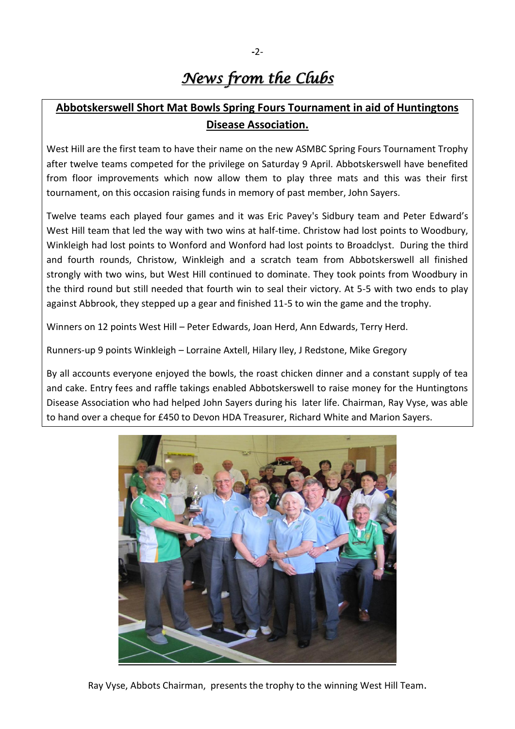# *News from the Clubs*

# **Abbotskerswell Short Mat Bowls Spring Fours Tournament in aid of Huntingtons Disease Association.**

West Hill are the first team to have their name on the new ASMBC Spring Fours Tournament Trophy after twelve teams competed for the privilege on Saturday 9 April. Abbotskerswell have benefited from floor improvements which now allow them to play three mats and this was their first tournament, on this occasion raising funds in memory of past member, John Sayers.

Twelve teams each played four games and it was Eric Pavey's Sidbury team and Peter Edward's West Hill team that led the way with two wins at half-time. Christow had lost points to Woodbury, Winkleigh had lost points to Wonford and Wonford had lost points to Broadclyst. During the third and fourth rounds, Christow, Winkleigh and a scratch team from Abbotskerswell all finished strongly with two wins, but West Hill continued to dominate. They took points from Woodbury in the third round but still needed that fourth win to seal their victory. At 5-5 with two ends to play against Abbrook, they stepped up a gear and finished 11-5 to win the game and the trophy.

Winners on 12 points West Hill – Peter Edwards, Joan Herd, Ann Edwards, Terry Herd.

Runners-up 9 points Winkleigh – Lorraine Axtell, Hilary Iley, J Redstone, Mike Gregory

By all accounts everyone enjoyed the bowls, the roast chicken dinner and a constant supply of tea and cake. Entry fees and raffle takings enabled Abbotskerswell to raise money for the Huntingtons Disease Association who had helped John Sayers during his later life. Chairman, Ray Vyse, was able to hand over a cheque for £450 to Devon HDA Treasurer, Richard White and Marion Sayers.

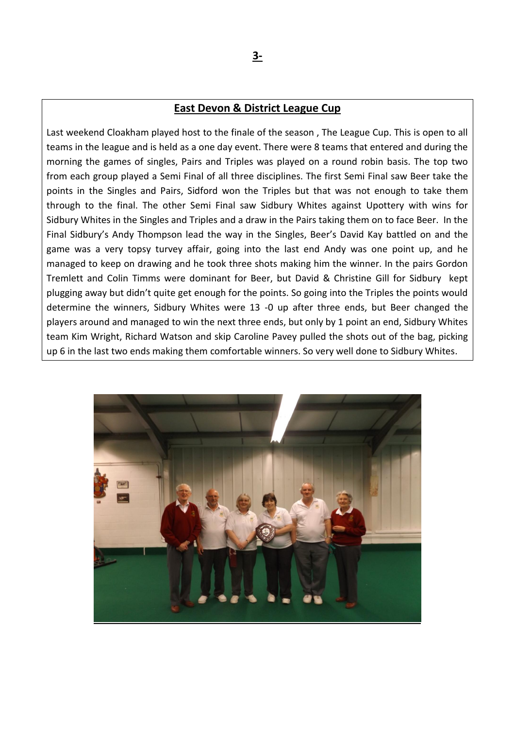#### **East Devon & District League Cup**

Last weekend Cloakham played host to the finale of the season , The League Cup. This is open to all teams in the league and is held as a one day event. There were 8 teams that entered and during the morning the games of singles, Pairs and Triples was played on a round robin basis. The top two from each group played a Semi Final of all three disciplines. The first Semi Final saw Beer take the points in the Singles and Pairs, Sidford won the Triples but that was not enough to take them through to the final. The other Semi Final saw Sidbury Whites against Upottery with wins for Sidbury Whites in the Singles and Triples and a draw in the Pairs taking them on to face Beer. In the Final Sidbury's Andy Thompson lead the way in the Singles, Beer's David Kay battled on and the game was a very topsy turvey affair, going into the last end Andy was one point up, and he managed to keep on drawing and he took three shots making him the winner. In the pairs Gordon Tremlett and Colin Timms were dominant for Beer, but David & Christine Gill for Sidbury kept plugging away but didn't quite get enough for the points. So going into the Triples the points would determine the winners, Sidbury Whites were 13 -0 up after three ends, but Beer changed the players around and managed to win the next three ends, but only by 1 point an end, Sidbury Whites team Kim Wright, Richard Watson and skip Caroline Pavey pulled the shots out of the bag, picking up 6 in the last two ends making them comfortable winners. So very well done to Sidbury Whites.